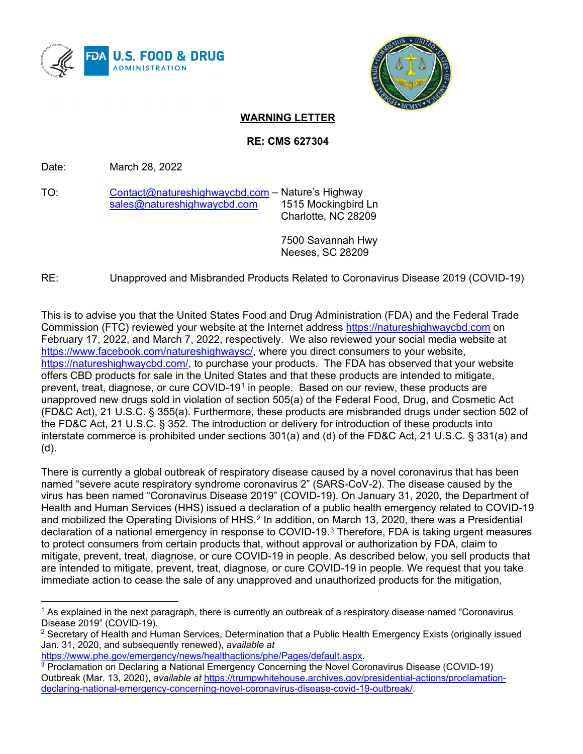



# **WARNING LETTER**

### **RE: CMS 627304**

Date: March 28, 2022

TO: [Contact@natureshighwaycbd.com](mailto:Contact@natureshighwaycbd.com) – Nature's Highway<br>sales@natureshighwaycbd.com 1515 Mockingbird Ln [sales@natureshighwaycbd.com](mailto:sales@natureshighwaycbd.com) Charlotte, NC 28209

> 7500 Savannah Hwy Neeses, SC 28209

## RE: Unapproved and Misbranded Products Related to Coronavirus Disease 2019 (COVID-19)

This is to advise you that the United States Food and Drug Administration (FDA) and the Federal Trade Commission (FTC) reviewed your website at the Internet address [https://natureshighwaycbd.com](https://natureshighwaycbd.com/) on February 17, 2022, and March 7, 2022, respectively. We also reviewed your social media website at [https://www.facebook.com/natureshighwaysc/,](https://www.facebook.com/natureshighwaysc/) where you direct consumers to your website, [https://natureshighwaycbd.com/,](https://natureshighwaycbd.com/) to purchase your products. The FDA has observed that your website offers CBD products for sale in the United States and that these products are intended to mitigate, prevent, treat, diagnose, or cure COVID-[1](#page-0-0)9<sup>1</sup> in people. Based on our review, these products are unapproved new drugs sold in violation of section 505(a) of the Federal Food, Drug, and Cosmetic Act (FD&C Act), 21 U.S.C. § 355(a). Furthermore, these products are misbranded drugs under section 502 of the FD&C Act, 21 U.S.C. § 352. The introduction or delivery for introduction of these products into interstate commerce is prohibited under sections 301(a) and (d) of the FD&C Act, 21 U.S.C. § 331(a) and (d).

There is currently a global outbreak of respiratory disease caused by a novel coronavirus that has been named "severe acute respiratory syndrome coronavirus 2" (SARS-CoV-2). The disease caused by the virus has been named "Coronavirus Disease 2019" (COVID-19). On January 31, 2020, the Department of Health and Human Services (HHS) issued a declaration of a public health emergency related to COVID-19 and mobilized the Operating Divisions of HHS.<sup>[2](#page-0-1)</sup> In addition, on March 13, 2020, there was a Presidential declaration of a national emergency in response to COVID-19.[3](#page-0-2) Therefore, FDA is taking urgent measures to protect consumers from certain products that, without approval or authorization by FDA, claim to mitigate, prevent, treat, diagnose, or cure COVID-19 in people. As described below, you sell products that are intended to mitigate, prevent, treat, diagnose, or cure COVID-19 in people. We request that you take immediate action to cease the sale of any unapproved and unauthorized products for the mitigation,

[https://www.phe.gov/emergency/news/healthactions/phe/Pages/default.aspx.](https://www.phe.gov/emergency/news/healthactions/phe/Pages/default.aspx)

<span id="page-0-0"></span><sup>&</sup>lt;sup>1</sup> As explained in the next paragraph, there is currently an outbreak of a respiratory disease named "Coronavirus Disease 2019" (COVID-19).

<span id="page-0-1"></span> $2$  Secretary of Health and Human Services, Determination that a Public Health Emergency Exists (originally issued Jan. 31, 2020, and subsequently renewed), *available at*

<span id="page-0-2"></span><sup>3</sup> Proclamation on Declaring a National Emergency Concerning the Novel Coronavirus Disease (COVID-19) Outbreak (Mar. 13, 2020), *available at* [https://trumpwhitehouse.archives.gov/presidential-actions/proclamation](https://trumpwhitehouse.archives.gov/presidential-actions/proclamation-declaring-national-emergency-concerning-novel-coronavirus-disease-covid-19-outbreak/)[declaring-national-emergency-concerning-novel-coronavirus-disease-covid-19-outbreak/.](https://trumpwhitehouse.archives.gov/presidential-actions/proclamation-declaring-national-emergency-concerning-novel-coronavirus-disease-covid-19-outbreak/)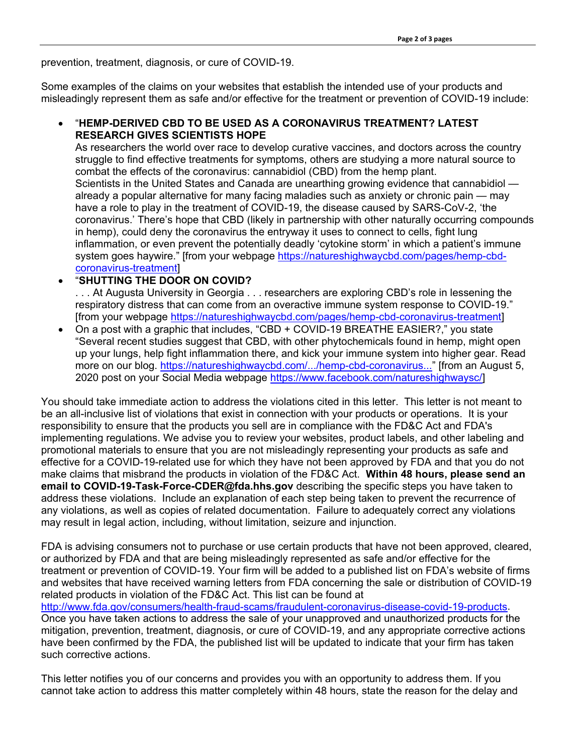prevention, treatment, diagnosis, or cure of COVID-19.

Some examples of the claims on your websites that establish the intended use of your products and misleadingly represent them as safe and/or effective for the treatment or prevention of COVID-19 include:

### • "**HEMP-DERIVED CBD TO BE USED AS A CORONAVIRUS TREATMENT? LATEST RESEARCH GIVES SCIENTISTS HOPE**

As researchers the world over race to develop curative vaccines, and doctors across the country struggle to find effective treatments for symptoms, others are studying a more natural source to combat the effects of the coronavirus: cannabidiol (CBD) from the hemp plant. Scientists in the United States and Canada are unearthing growing evidence that cannabidiol already a popular alternative for many facing maladies such as anxiety or chronic pain — may have a role to play in the treatment of COVID-19, the disease caused by SARS-CoV-2, 'the coronavirus.' There's hope that CBD (likely in partnership with other naturally occurring compounds in hemp), could deny the coronavirus the entryway it uses to connect to cells, fight lung inflammation, or even prevent the potentially deadly 'cytokine storm' in which a patient's immune system goes haywire." [from your webpage [https://natureshighwaycbd.com/pages/hemp-cbd](https://natureshighwaycbd.com/pages/hemp-cbd-coronavirus-treatment?_pos=3&_sid=64f1bd1f2&_ss=r)[coronavirus-treatment\]](https://natureshighwaycbd.com/pages/hemp-cbd-coronavirus-treatment?_pos=3&_sid=64f1bd1f2&_ss=r)

### • "**SHUTTING THE DOOR ON COVID?**

. . . At Augusta University in Georgia . . . researchers are exploring CBD's role in lessening the respiratory distress that can come from an overactive immune system response to COVID-19." [from your webpage [https://natureshighwaycbd.com/pages/hemp-cbd-coronavirus-treatment\]](https://natureshighwaycbd.com/pages/hemp-cbd-coronavirus-treatment?_pos=3&_sid=64f1bd1f2&_ss=r)

• On a post with a graphic that includes, "CBD + COVID-19 BREATHE EASIER?," you state "Several recent studies suggest that CBD, with other phytochemicals found in hemp, might open up your lungs, help fight inflammation there, and kick your immune system into higher gear. Read more on our blog. [https://natureshighwaycbd.com/.../hemp-cbd-coronavirus..."](https://natureshighwaycbd.com/pages/hemp-cbd-coronavirus-treatment?fbclid=IwAR0juB4JWTM9B7--9AabNa1rpSAhqppCBmorm5SywJ2p_vBgzQdwhq3Lf58) [from an August 5, 2020 post on your Social Media webpage [https://www.facebook.com/natureshighwaysc/\]](https://www.facebook.com/natureshighwaysc/)

You should take immediate action to address the violations cited in this letter. This letter is not meant to be an all-inclusive list of violations that exist in connection with your products or operations. It is your responsibility to ensure that the products you sell are in compliance with the FD&C Act and FDA's implementing regulations. We advise you to review your websites, product labels, and other labeling and promotional materials to ensure that you are not misleadingly representing your products as safe and effective for a COVID-19-related use for which they have not been approved by FDA and that you do not make claims that misbrand the products in violation of the FD&C Act. **Within 48 hours, please send an email to COVID-19-Task-Force-CDER@fda.hhs.gov** describing the specific steps you have taken to address these violations. Include an explanation of each step being taken to prevent the recurrence of any violations, as well as copies of related documentation. Failure to adequately correct any violations may result in legal action, including, without limitation, seizure and injunction.

FDA is advising consumers not to purchase or use certain products that have not been approved, cleared, or authorized by FDA and that are being misleadingly represented as safe and/or effective for the treatment or prevention of COVID-19. Your firm will be added to a published list on FDA's website of firms and websites that have received warning letters from FDA concerning the sale or distribution of COVID-19 related products in violation of the FD&C Act. This list can be found at

[http://www.fda.gov/consumers/health-fraud-scams/fraudulent-coronavirus-disease-covid-19-products.](http://www.fda.gov/consumers/health-fraud-scams/fraudulent-coronavirus-disease-covid-19-products) Once you have taken actions to address the sale of your unapproved and unauthorized products for the mitigation, prevention, treatment, diagnosis, or cure of COVID-19, and any appropriate corrective actions have been confirmed by the FDA, the published list will be updated to indicate that your firm has taken such corrective actions.

This letter notifies you of our concerns and provides you with an opportunity to address them. If you cannot take action to address this matter completely within 48 hours, state the reason for the delay and